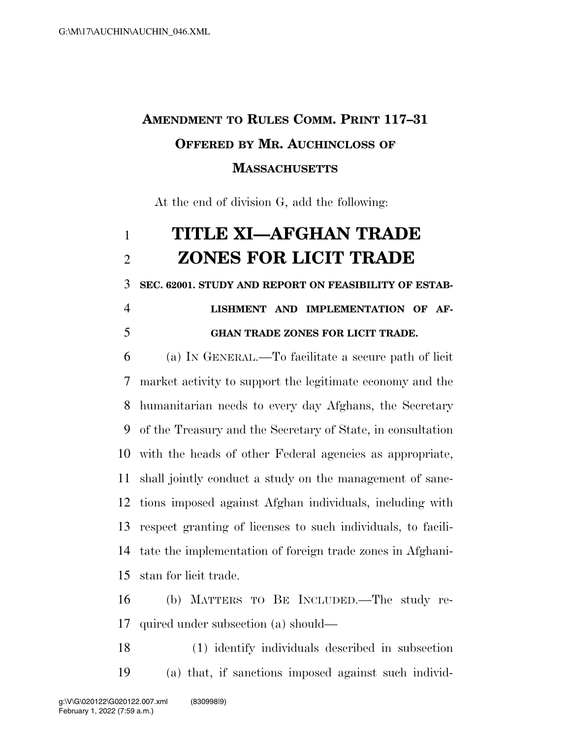## **AMENDMENT TO RULES COMM. PRINT 117–31 OFFERED BY MR. AUCHINCLOSS OF MASSACHUSETTS**

At the end of division G, add the following:

## **TITLE XI—AFGHAN TRADE ZONES FOR LICIT TRADE**

**SEC. 62001. STUDY AND REPORT ON FEASIBILITY OF ESTAB-**

## **LISHMENT AND IMPLEMENTATION OF AF-GHAN TRADE ZONES FOR LICIT TRADE.**

 (a) IN GENERAL.—To facilitate a secure path of licit market activity to support the legitimate economy and the humanitarian needs to every day Afghans, the Secretary of the Treasury and the Secretary of State, in consultation with the heads of other Federal agencies as appropriate, shall jointly conduct a study on the management of sanc- tions imposed against Afghan individuals, including with respect granting of licenses to such individuals, to facili- tate the implementation of foreign trade zones in Afghani-stan for licit trade.

 (b) MATTERS TO BE INCLUDED.—The study re-quired under subsection (a) should—

 (1) identify individuals described in subsection (a) that, if sanctions imposed against such individ